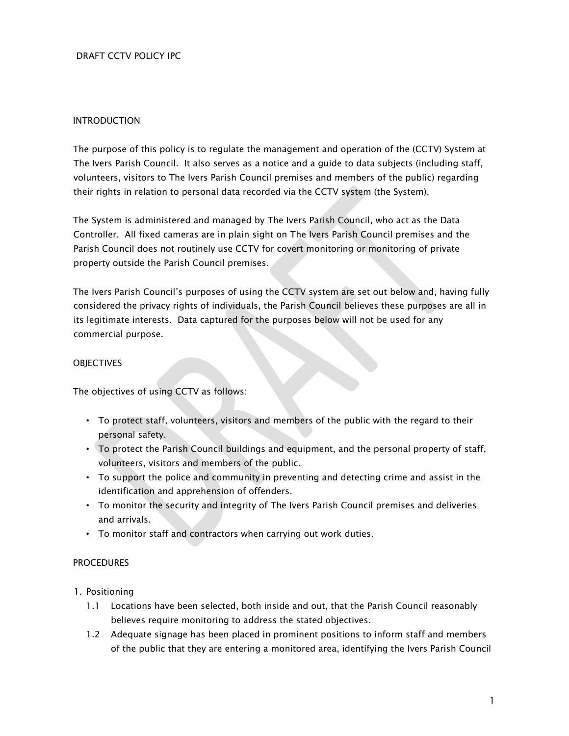## DRAFT CCTV POLICY IPC

#### INTRODUCTION

The purpose of this policy is to regulate the management and operation of the (CCTV) System at The Ivers Parish Council. It also serves as a notice and a guide to data subjects (including staff, volunteers, visitors to The Ivers Parish Council premises and members of the public) regarding their rights in relation to personal data recorded via the CCTV system (the System).

The System is administered and managed by The Ivers Parish Council, who act as the Data Controller. All fixed cameras are in plain sight on The Ivers Parish Council premises and the Parish Council does not routinely use CCTV for covert monitoring or monitoring of private property outside the Parish Council premises.

The Ivers Parish Council's purposes of using the CCTV system are set out below and, having fully considered the privacy rights of individuals, the Parish Council believes these purposes are all in its legitimate interests. Data captured for the purposes below will not be used for any commercial purpose.

#### **OBJECTIVES**

The objectives of using CCTV as follows:

- To protect staff, volunteers, visitors and members of the public with the regard to their personal safety.
- To protect the Parish Council buildings and equipment, and the personal property of staff, volunteers, visitors and members of the public.
- To support the police and community in preventing and detecting crime and assist in the identification and apprehension of offenders.
- To monitor the security and integrity of The Ivers Parish Council premises and deliveries and arrivals.
- To monitor staff and contractors when carrying out work duties.

### **PROCEDURES**

- 1. Positioning
	- 1.1 Locations have been selected, both inside and out, that the Parish Council reasonably believes require monitoring to address the stated objectives.
	- 1.2 Adequate signage has been placed in prominent positions to inform staff and members of the public that they are entering a monitored area, identifying the Ivers Parish Council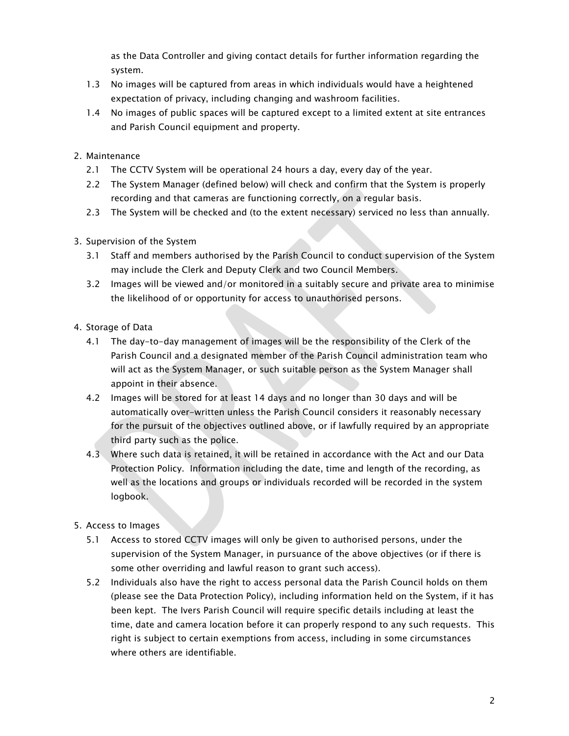as the Data Controller and giving contact details for further information regarding the system.

- 1.3 No images will be captured from areas in which individuals would have a heightened expectation of privacy, including changing and washroom facilities.
- 1.4 No images of public spaces will be captured except to a limited extent at site entrances and Parish Council equipment and property.
- 2. Maintenance
	- 2.1 The CCTV System will be operational 24 hours a day, every day of the year.
	- 2.2 The System Manager (defined below) will check and confirm that the System is properly recording and that cameras are functioning correctly, on a regular basis.
	- 2.3 The System will be checked and (to the extent necessary) serviced no less than annually.
- 3. Supervision of the System
	- 3.1 Staff and members authorised by the Parish Council to conduct supervision of the System may include the Clerk and Deputy Clerk and two Council Members.
	- 3.2 Images will be viewed and/or monitored in a suitably secure and private area to minimise the likelihood of or opportunity for access to unauthorised persons.
- 4. Storage of Data
	- 4.1 The day-to-day management of images will be the responsibility of the Clerk of the Parish Council and a designated member of the Parish Council administration team who will act as the System Manager, or such suitable person as the System Manager shall appoint in their absence.
	- 4.2 Images will be stored for at least 14 days and no longer than 30 days and will be automatically over-written unless the Parish Council considers it reasonably necessary for the pursuit of the objectives outlined above, or if lawfully required by an appropriate third party such as the police.
	- 4.3 Where such data is retained, it will be retained in accordance with the Act and our Data Protection Policy. Information including the date, time and length of the recording, as well as the locations and groups or individuals recorded will be recorded in the system logbook.
- 5. Access to Images
	- 5.1 Access to stored CCTV images will only be given to authorised persons, under the supervision of the System Manager, in pursuance of the above objectives (or if there is some other overriding and lawful reason to grant such access).
	- 5.2 Individuals also have the right to access personal data the Parish Council holds on them (please see the Data Protection Policy), including information held on the System, if it has been kept. The Ivers Parish Council will require specific details including at least the time, date and camera location before it can properly respond to any such requests. This right is subject to certain exemptions from access, including in some circumstances where others are identifiable.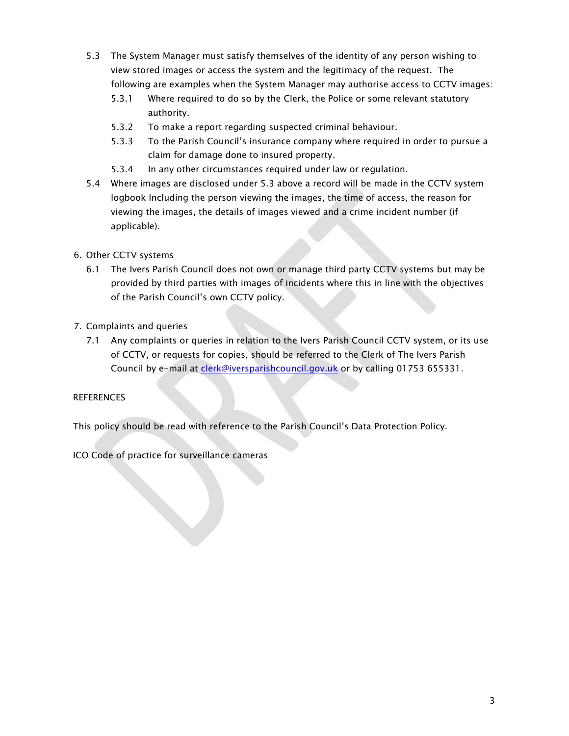- 5.3 The System Manager must satisfy themselves of the identity of any person wishing to view stored images or access the system and the legitimacy of the request. The following are examples when the System Manager may authorise access to CCTV images:
	- 5.3.1 Where required to do so by the Clerk, the Police or some relevant statutory authority.
	- 5.3.2 To make a report regarding suspected criminal behaviour.
	- 5.3.3 To the Parish Council's insurance company where required in order to pursue a claim for damage done to insured property.
	- 5.3.4 In any other circumstances required under law or regulation.
- 5.4 Where images are disclosed under 5.3 above a record will be made in the CCTV system logbook Including the person viewing the images, the time of access, the reason for viewing the images, the details of images viewed and a crime incident number (if applicable).
- 6. Other CCTV systems
	- 6.1 The Ivers Parish Council does not own or manage third party CCTV systems but may be provided by third parties with images of incidents where this in line with the objectives of the Parish Council's own CCTV policy.
- 7. Complaints and queries
	- 7.1 Any complaints or queries in relation to the Ivers Parish Council CCTV system, or its use of CCTV, or requests for copies, should be referred to the Clerk of The Ivers Parish Council by e-mail at clerk@iversparishcouncil.gov.uk or by calling 01753 655331.

# **REFERENCES**

This policy should be read with reference to the Parish Council's Data Protection Policy.

ICO Code of practice for surveillance cameras